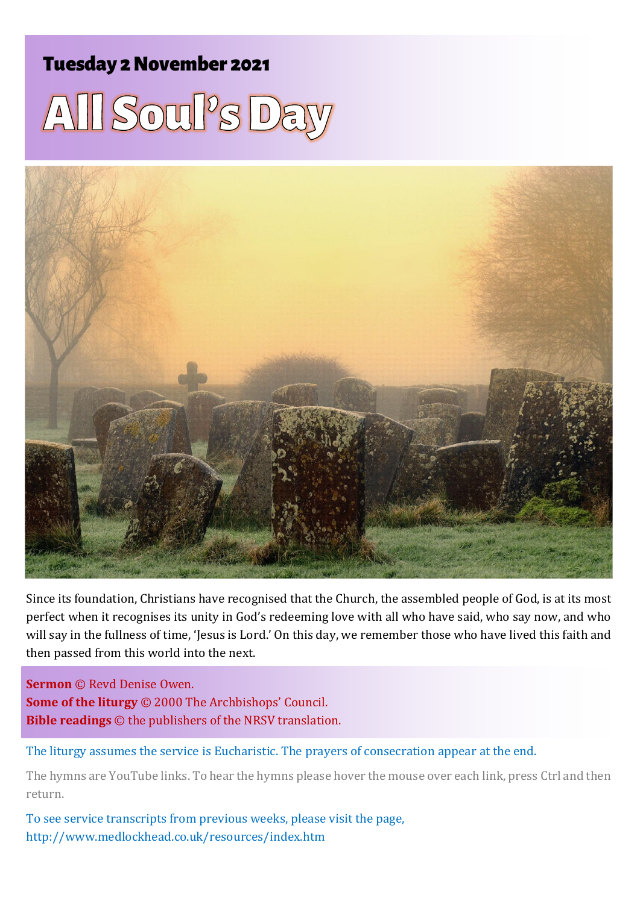## Tuesday 2November 2021





Since its foundation, Christians have recognised that the Church, the assembled people of God, is at its most perfect when it recognises its unity in God's redeeming love with all who have said, who say now, and who will say in the fullness of time, 'Jesus is Lord.' On this day, we remember those who have lived this faith and then passed from this world into the next.

**Sermon** © Revd Denise Owen. **Some of the liturgy** © 2000 The Archbishops' Council. **Bible readings** © the publishers of the NRSV translation.

The liturgy assumes the service is Eucharistic. The prayers of consecration appear at the end.

The hymns are YouTube links. To hear the hymns please hover the mouse over each link, press Ctrl and then return.

To see service transcripts from previous weeks, please visit the page, <http://www.medlockhead.co.uk/resources/index.htm>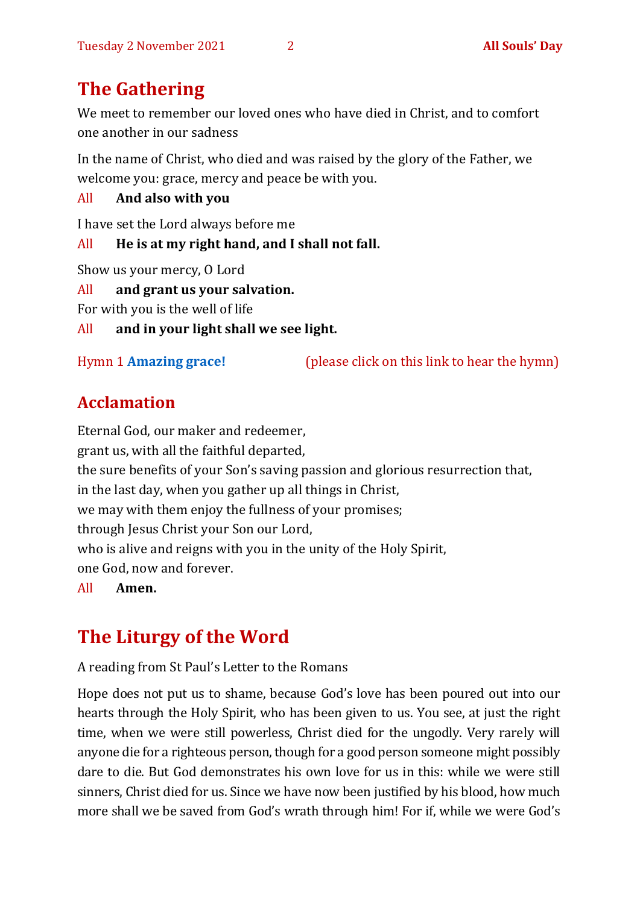# **The Gathering**

We meet to remember our loved ones who have died in Christ, and to comfort one another in our sadness

In the name of Christ, who died and was raised by the glory of the Father, we welcome you: grace, mercy and peace be with you.

All **And also with you** 

I have set the Lord always before me

All **He is at my right hand, and I shall not fall.**

Show us your mercy, O Lord

All **and grant us your salvation.**

For with you is the well of life

All **and in your light shall we see light.**

Hymn 1 **[Amazing grace!](https://www.youtube.com/watch?v=CDdvReNKKuk)** (please click on this link to hear the hymn)

## **Acclamation**

Eternal God, our maker and redeemer, grant us, with all the faithful departed, the sure benefits of your Son's saving passion and glorious resurrection that, in the last day, when you gather up all things in Christ, we may with them enjoy the fullness of your promises; through Jesus Christ your Son our Lord, who is alive and reigns with you in the unity of the Holy Spirit, one God, now and forever.

All **Amen.**

# **The Liturgy of the Word**

A reading from St Paul's Letter to the Romans

Hope does not put us to shame, because God's love has been poured out into our hearts through the Holy Spirit, who has been given to us. You see, at just the right time, when we were still powerless, Christ died for the ungodly. Very rarely will anyone die for a righteous person, though for a good person someone might possibly dare to die. But God demonstrates his own love for us in this: while we were still sinners, Christ died for us. Since we have now been justified by his blood, how much more shall we be saved from God's wrath through him! For if, while we were God's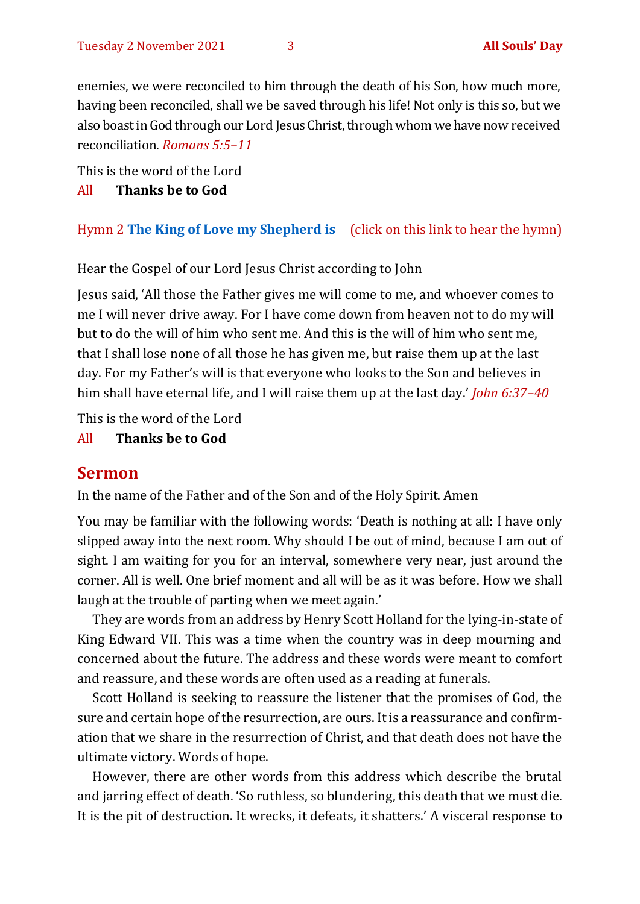enemies, we were reconciled to him through the death of his Son, how much more, having been reconciled, shall we be saved through his life! Not only is this so, but we also boast in God through our Lord Jesus Christ, through whom we have now received reconciliation. *Romans 5:5–11*

This is the word of the Lord

#### All **Thanks be to God**

#### Hymn 2 **[The King of Love my Shepherd is](https://www.youtube.com/watch?v=b3GFVW6m9Qo)** (click on this link to hear the hymn)

Hear the Gospel of our Lord Jesus Christ according to John

Jesus said, 'All those the Father gives me will come to me, and whoever comes to me I will never drive away. For I have come down from heaven not to do my will but to do the will of him who sent me. And this is the will of him who sent me, that I shall lose none of all those he has given me, but raise them up at the last day. For my Father's will is that everyone who looks to the Son and believes in him shall have eternal life, and I will raise them up at the last day.' *John 6:37–40*

This is the word of the Lord

All **Thanks be to God**

#### **Sermon**

In the name of the Father and of the Son and of the Holy Spirit. Amen

You may be familiar with the following words: 'Death is nothing at all: I have only slipped away into the next room. Why should I be out of mind, because I am out of sight. I am waiting for you for an interval, somewhere very near, just around the corner. All is well. One brief moment and all will be as it was before. How we shall laugh at the trouble of parting when we meet again.'

They are words from an address by Henry Scott Holland for the lying-in-state of King Edward VII. This was a time when the country was in deep mourning and concerned about the future. The address and these words were meant to comfort and reassure, and these words are often used as a reading at funerals.

Scott Holland is seeking to reassure the listener that the promises of God, the sure and certain hope of the resurrection, are ours. It is a reassurance and confirmation that we share in the resurrection of Christ, and that death does not have the ultimate victory. Words of hope.

However, there are other words from this address which describe the brutal and jarring effect of death. 'So ruthless, so blundering, this death that we must die. It is the pit of destruction. It wrecks, it defeats, it shatters.' A visceral response to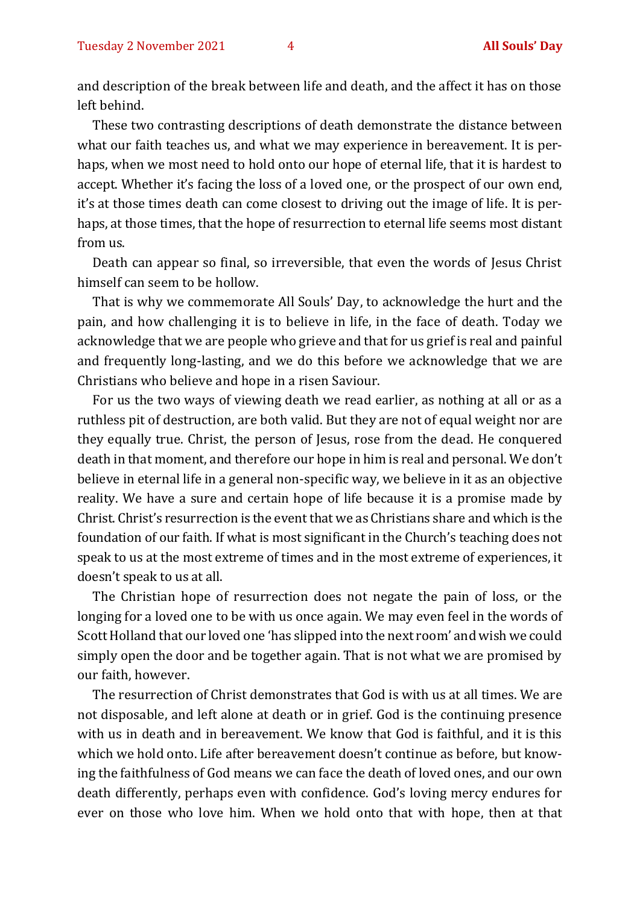and description of the break between life and death, and the affect it has on those left behind.

These two contrasting descriptions of death demonstrate the distance between what our faith teaches us, and what we may experience in bereavement. It is perhaps, when we most need to hold onto our hope of eternal life, that it is hardest to accept. Whether it's facing the loss of a loved one, or the prospect of our own end, it's at those times death can come closest to driving out the image of life. It is perhaps, at those times, that the hope of resurrection to eternal life seems most distant from us.

Death can appear so final, so irreversible, that even the words of Jesus Christ himself can seem to be hollow.

That is why we commemorate All Souls' Day, to acknowledge the hurt and the pain, and how challenging it is to believe in life, in the face of death. Today we acknowledge that we are people who grieve and that for us grief is real and painful and frequently long-lasting, and we do this before we acknowledge that we are Christians who believe and hope in a risen Saviour.

For us the two ways of viewing death we read earlier, as nothing at all or as a ruthless pit of destruction, are both valid. But they are not of equal weight nor are they equally true. Christ, the person of Jesus, rose from the dead. He conquered death in that moment, and therefore our hope in him is real and personal. We don't believe in eternal life in a general non-specific way, we believe in it as an objective reality. We have a sure and certain hope of life because it is a promise made by Christ. Christ's resurrection is the event that we as Christians share and which is the foundation of our faith. If what is most significant in the Church's teaching does not speak to us at the most extreme of times and in the most extreme of experiences, it doesn't speak to us at all.

The Christian hope of resurrection does not negate the pain of loss, or the longing for a loved one to be with us once again. We may even feel in the words of Scott Holland that our loved one 'has slipped into the next room' and wish we could simply open the door and be together again. That is not what we are promised by our faith, however.

The resurrection of Christ demonstrates that God is with us at all times. We are not disposable, and left alone at death or in grief. God is the continuing presence with us in death and in bereavement. We know that God is faithful, and it is this which we hold onto. Life after bereavement doesn't continue as before, but knowing the faithfulness of God means we can face the death of loved ones, and our own death differently, perhaps even with confidence. God's loving mercy endures for ever on those who love him. When we hold onto that with hope, then at that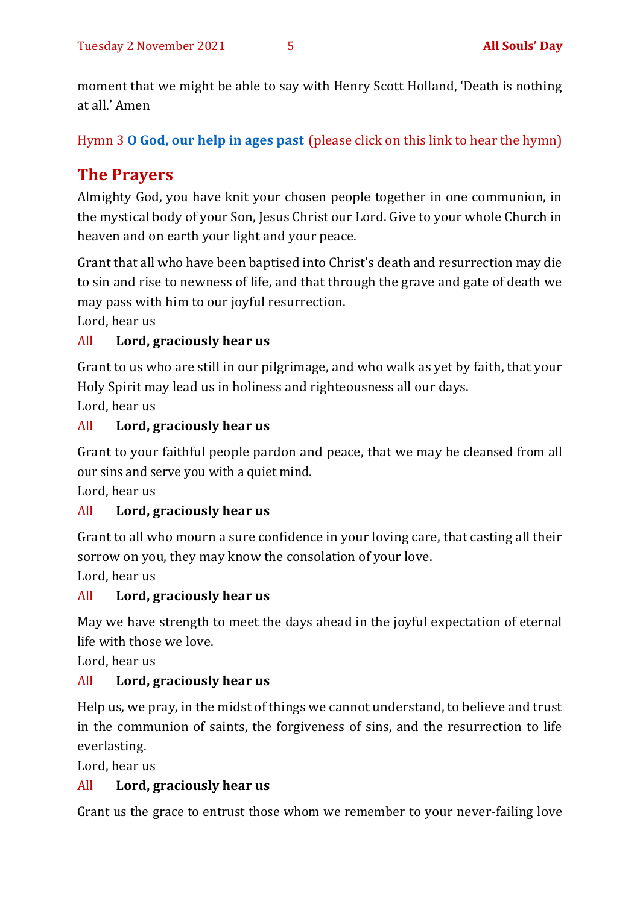moment that we might be able to say with Henry Scott Holland, 'Death is nothing at all.' Amen

Hymn 3 **[O God, our help in ages past](https://www.youtube.com/watch?v=ZjdmLstpNGE)** (please click on this link to hear the hymn)

## **The Prayers**

Almighty God, you have knit your chosen people together in one communion, in the mystical body of your Son, Jesus Christ our Lord. Give to your whole Church in heaven and on earth your light and your peace.

Grant that all who have been baptised into Christ's death and resurrection may die to sin and rise to newness of life, and that through the grave and gate of death we may pass with him to our joyful resurrection.

Lord, hear us

#### All **Lord, graciously hear us**

Grant to us who are still in our pilgrimage, and who walk as yet by faith, that your Holy Spirit may lead us in holiness and righteousness all our days.

Lord, hear us

#### All **Lord, graciously hear us**

Grant to your faithful people pardon and peace, that we may be cleansed from all our sins and serve you with a quiet mind.

Lord, hear us

#### All **Lord, graciously hear us**

Grant to all who mourn a sure confidence in your loving care, that casting all their sorrow on you, they may know the consolation of your love.

Lord, hear us

#### All **Lord, graciously hear us**

May we have strength to meet the days ahead in the joyful expectation of eternal life with those we love.

Lord, hear us

#### All **Lord, graciously hear us**

Help us, we pray, in the midst of things we cannot understand, to believe and trust in the communion of saints, the forgiveness of sins, and the resurrection to life everlasting.

Lord, hear us

#### All **Lord, graciously hear us**

Grant us the grace to entrust those whom we remember to your never-failing love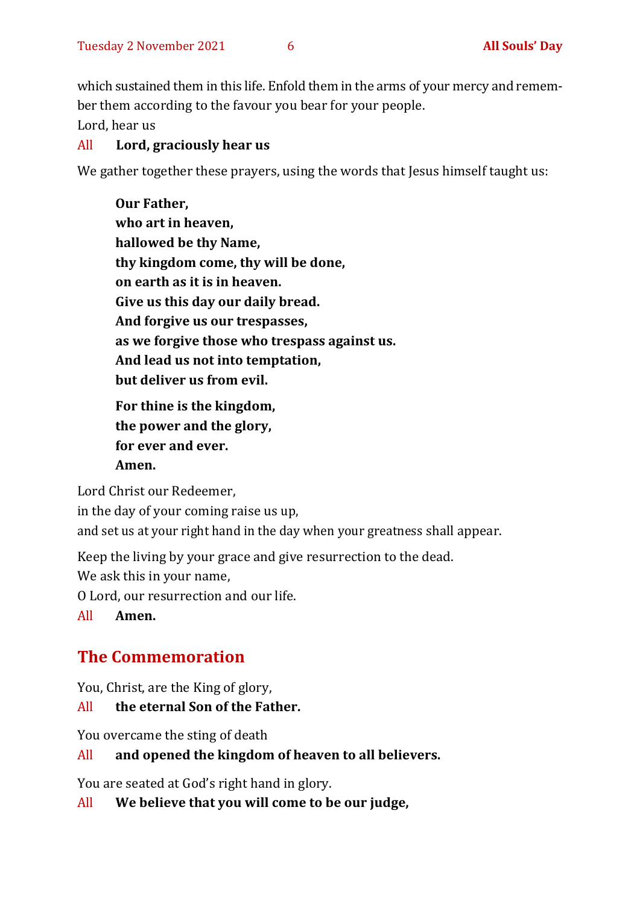which sustained them in this life. Enfold them in the arms of your mercy and remember them according to the favour you bear for your people.

Lord, hear us

#### All **Lord, graciously hear us**

We gather together these prayers, using the words that Jesus himself taught us:

**Our Father, who art in heaven, hallowed be thy Name, thy kingdom come, thy will be done, on earth as it is in heaven. Give us this day our daily bread. And forgive us our trespasses, as we forgive those who trespass against us. And lead us not into temptation, but deliver us from evil. For thine is the kingdom,** 

**the power and the glory, for ever and ever. Amen.**

Lord Christ our Redeemer, in the day of your coming raise us up, and set us at your right hand in the day when your greatness shall appear.

Keep the living by your grace and give resurrection to the dead.

We ask this in your name,

O Lord, our resurrection and our life.

All **Amen.**

## **The Commemoration**

You, Christ, are the King of glory,

#### All **the eternal Son of the Father.**

You overcame the sting of death

#### All **and opened the kingdom of heaven to all believers.**

You are seated at God's right hand in glory.

All **We believe that you will come to be our judge,**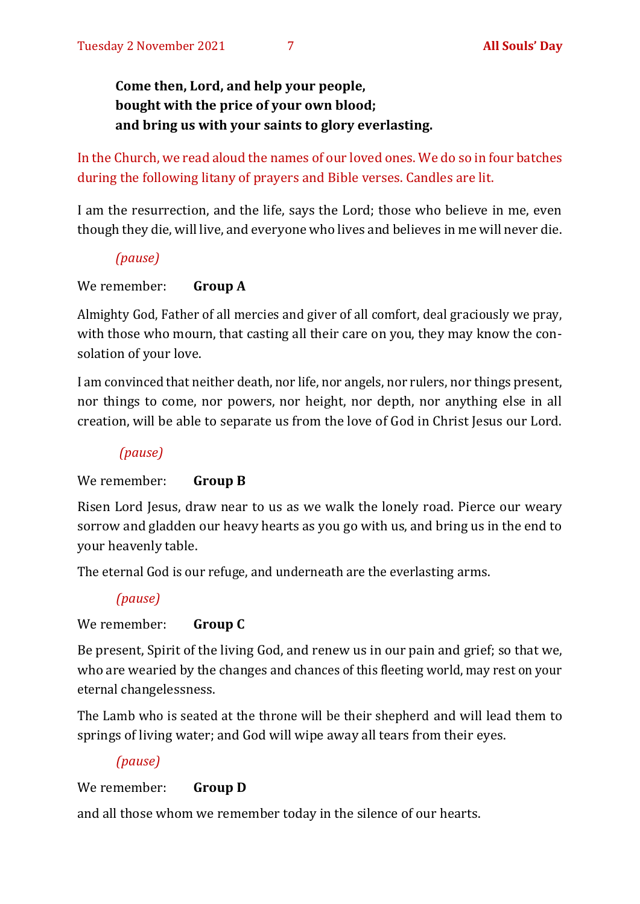**Come then, Lord, and help your people, bought with the price of your own blood; and bring us with your saints to glory everlasting.**

In the Church, we read aloud the names of our loved ones. We do so in four batches during the following litany of prayers and Bible verses. Candles are lit.

I am the resurrection, and the life, says the Lord; those who believe in me, even though they die, will live, and everyone who lives and believes in me will never die.

#### *(pause)*

#### We remember: **Group A**

Almighty God, Father of all mercies and giver of all comfort, deal graciously we pray, with those who mourn, that casting all their care on you, they may know the consolation of your love.

I am convinced that neither death, nor life, nor angels, nor rulers, nor things present, nor things to come, nor powers, nor height, nor depth, nor anything else in all creation, will be able to separate us from the love of God in Christ Jesus our Lord.

#### *(pause)*

#### We remember: **Group B**

Risen Lord Jesus, draw near to us as we walk the lonely road. Pierce our weary sorrow and gladden our heavy hearts as you go with us, and bring us in the end to your heavenly table.

The eternal God is our refuge, and underneath are the everlasting arms.

#### *(pause)*

#### We remember: **Group C**

Be present, Spirit of the living God, and renew us in our pain and grief; so that we, who are wearied by the changes and chances of this fleeting world, may rest on your eternal changelessness.

The Lamb who is seated at the throne will be their shepherd and will lead them to springs of living water; and God will wipe away all tears from their eyes.

#### *(pause)*

#### We remember: **Group D**

and all those whom we remember today in the silence of our hearts.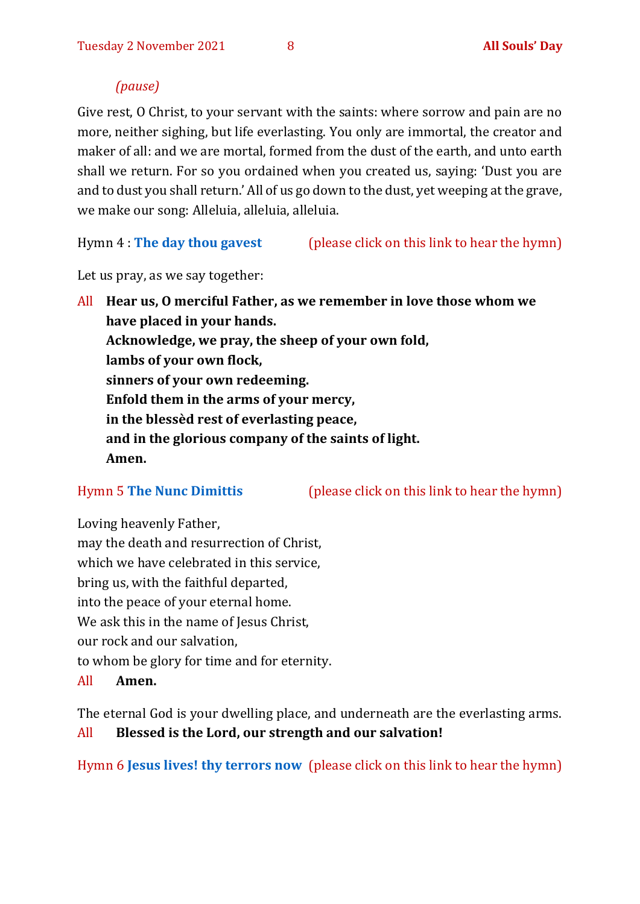#### *(pause)*

Give rest, O Christ, to your servant with the saints: where sorrow and pain are no more, neither sighing, but life everlasting. You only are immortal, the creator and maker of all: and we are mortal, formed from the dust of the earth, and unto earth shall we return. For so you ordained when you created us, saying: 'Dust you are and to dust you shall return.' All of us go down to the dust, yet weeping at the grave, we make our song: Alleluia, alleluia, alleluia.

Hymn 4 : **[The day thou gavest](https://www.youtube.com/watch?v=eeC6M_RD3oE)** (please click on this link to hear the hymn)

Let us pray, as we say together:

All **Hear us, O merciful Father, as we remember in love those whom we have placed in your hands. Acknowledge, we pray, the sheep of your own fold, lambs of your own flock, sinners of your own redeeming. Enfold them in the arms of your mercy, in the blessèd rest of everlasting peace, and in the glorious company of the saints of light. Amen.**

Hymn 5 **[The Nunc Dimittis](https://www.youtube.com/watch?v=RqpIN73xjow)** (please click on this link to hear the hymn)

Loving heavenly Father, may the death and resurrection of Christ, which we have celebrated in this service, bring us, with the faithful departed, into the peace of your eternal home. We ask this in the name of Jesus Christ, our rock and our salvation, to whom be glory for time and for eternity.

All **Amen.**

The eternal God is your dwelling place, and underneath are the everlasting arms. All **Blessed is the Lord, our strength and our salvation!**

Hymn 6 **[Jesus lives! thy terrors now](https://www.youtube.com/watch?v=ZCz-HYIxmvE)** (please click on this link to hear the hymn)